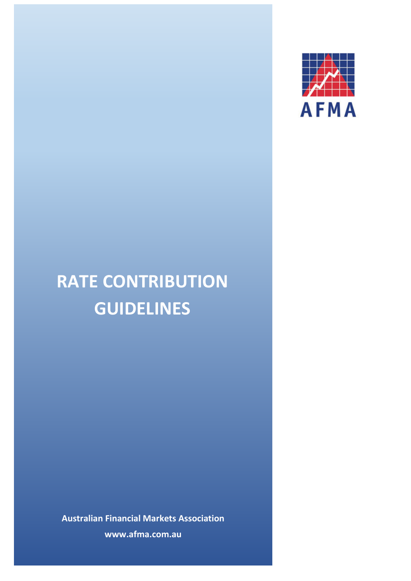

# **RATE CONTRIBUTION GUIDELINES**

**Australian Financial Markets Association www.afma.com.au**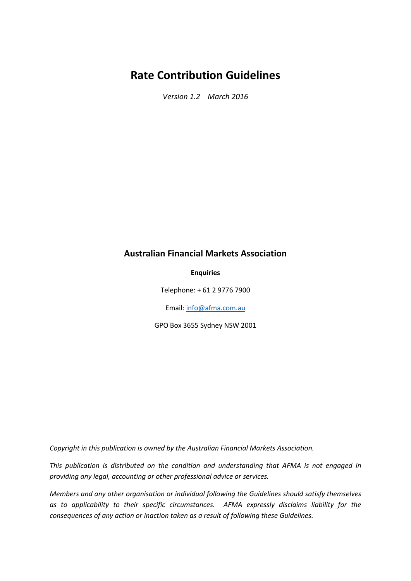# **Rate Contribution Guidelines**

*Version 1.2 March 2016*

# **Australian Financial Markets Association**

#### **Enquiries**

Telephone: + 61 2 9776 7900

Email[: info@afma.com.au](mailto:info@afma.com.au)

GPO Box 3655 Sydney NSW 2001

*Copyright in this publication is owned by the Australian Financial Markets Association.*

*This publication is distributed on the condition and understanding that AFMA is not engaged in providing any legal, accounting or other professional advice or services.*

*Members and any other organisation or individual following the Guidelines should satisfy themselves as to applicability to their specific circumstances. AFMA expressly disclaims liability for the consequences of any action or inaction taken as a result of following these Guidelines.*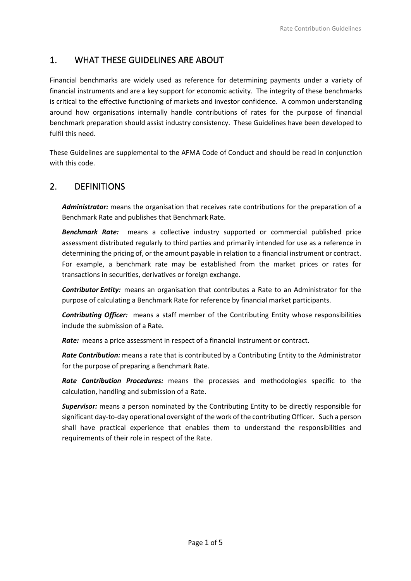# 1. WHAT THESE GUIDELINES ARE ABOUT

Financial benchmarks are widely used as reference for determining payments under a variety of financial instruments and are a key support for economic activity. The integrity of these benchmarks is critical to the effective functioning of markets and investor confidence. A common understanding around how organisations internally handle contributions of rates for the purpose of financial benchmark preparation should assist industry consistency. These Guidelines have been developed to fulfil this need.

These Guidelines are supplemental to the AFMA Code of Conduct and should be read in conjunction with this code.

# 2. DEFINITIONS

*Administrator:* means the organisation that receives rate contributions for the preparation of a Benchmark Rate and publishes that Benchmark Rate.

*Benchmark Rate:* means a collective industry supported or commercial published price assessment distributed regularly to third parties and primarily intended for use as a reference in determining the pricing of, or the amount payable in relation to a financial instrument or contract. For example, a benchmark rate may be established from the market prices or rates for transactions in securities, derivatives or foreign exchange.

*Contributor Entity:* means an organisation that contributes a Rate to an Administrator for the purpose of calculating a Benchmark Rate for reference by financial market participants.

*Contributing Officer:* means a staff member of the Contributing Entity whose responsibilities include the submission of a Rate.

*Rate:* means a price assessment in respect of a financial instrument or contract.

*Rate Contribution:* means a rate that is contributed by a Contributing Entity to the Administrator for the purpose of preparing a Benchmark Rate.

*Rate Contribution Procedures:* means the processes and methodologies specific to the calculation, handling and submission of a Rate.

*Supervisor:* means a person nominated by the Contributing Entity to be directly responsible for significant day-to-day operational oversight of the work of the contributing Officer. Such a person shall have practical experience that enables them to understand the responsibilities and requirements of their role in respect of the Rate.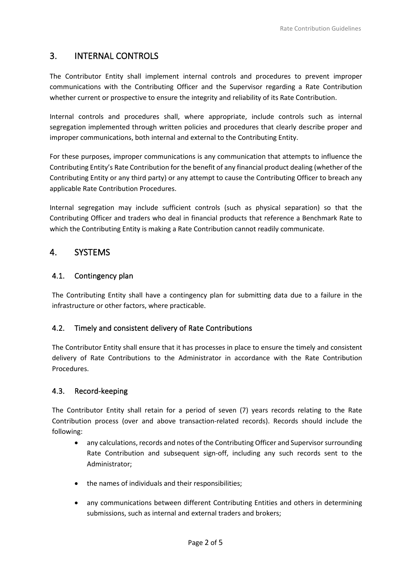# 3. INTERNAL CONTROLS

The Contributor Entity shall implement internal controls and procedures to prevent improper communications with the Contributing Officer and the Supervisor regarding a Rate Contribution whether current or prospective to ensure the integrity and reliability of its Rate Contribution.

Internal controls and procedures shall, where appropriate, include controls such as internal segregation implemented through written policies and procedures that clearly describe proper and improper communications, both internal and external to the Contributing Entity.

For these purposes, improper communications is any communication that attempts to influence the Contributing Entity's Rate Contribution for the benefit of any financial product dealing (whether of the Contributing Entity or any third party) or any attempt to cause the Contributing Officer to breach any applicable Rate Contribution Procedures.

Internal segregation may include sufficient controls (such as physical separation) so that the Contributing Officer and traders who deal in financial products that reference a Benchmark Rate to which the Contributing Entity is making a Rate Contribution cannot readily communicate.

## 4. SYSTEMS

#### 4.1. Contingency plan

The Contributing Entity shall have a contingency plan for submitting data due to a failure in the infrastructure or other factors, where practicable.

#### 4.2. Timely and consistent delivery of Rate Contributions

The Contributor Entity shall ensure that it has processes in place to ensure the timely and consistent delivery of Rate Contributions to the Administrator in accordance with the Rate Contribution **Procedures** 

#### 4.3. Record-keeping

The Contributor Entity shall retain for a period of seven (7) years records relating to the Rate Contribution process (over and above transaction-related records). Records should include the following:

- any calculations, records and notes of the Contributing Officer and Supervisor surrounding Rate Contribution and subsequent sign-off, including any such records sent to the Administrator;
- the names of individuals and their responsibilities;
- any communications between different Contributing Entities and others in determining submissions, such as internal and external traders and brokers;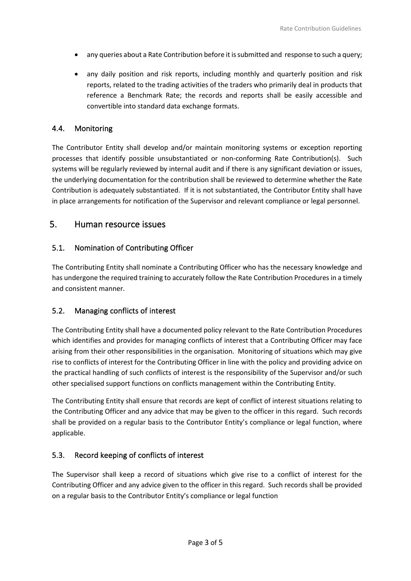- any queries about a Rate Contribution before it is submitted and response to such a query;
- any daily position and risk reports, including monthly and quarterly position and risk reports, related to the trading activities of the traders who primarily deal in products that reference a Benchmark Rate; the records and reports shall be easily accessible and convertible into standard data exchange formats.

#### 4.4. Monitoring

The Contributor Entity shall develop and/or maintain monitoring systems or exception reporting processes that identify possible unsubstantiated or non-conforming Rate Contribution(s). Such systems will be regularly reviewed by internal audit and if there is any significant deviation or issues, the underlying documentation for the contribution shall be reviewed to determine whether the Rate Contribution is adequately substantiated. If it is not substantiated, the Contributor Entity shall have in place arrangements for notification of the Supervisor and relevant compliance or legal personnel.

## 5. Human resource issues

#### 5.1. Nomination of Contributing Officer

The Contributing Entity shall nominate a Contributing Officer who has the necessary knowledge and has undergone the required training to accurately follow the Rate Contribution Procedures in a timely and consistent manner.

#### 5.2. Managing conflicts of interest

The Contributing Entity shall have a documented policy relevant to the Rate Contribution Procedures which identifies and provides for managing conflicts of interest that a Contributing Officer may face arising from their other responsibilities in the organisation. Monitoring of situations which may give rise to conflicts of interest for the Contributing Officer in line with the policy and providing advice on the practical handling of such conflicts of interest is the responsibility of the Supervisor and/or such other specialised support functions on conflicts management within the Contributing Entity.

The Contributing Entity shall ensure that records are kept of conflict of interest situations relating to the Contributing Officer and any advice that may be given to the officer in this regard. Such records shall be provided on a regular basis to the Contributor Entity's compliance or legal function, where applicable.

#### 5.3. Record keeping of conflicts of interest

The Supervisor shall keep a record of situations which give rise to a conflict of interest for the Contributing Officer and any advice given to the officer in this regard. Such records shall be provided on a regular basis to the Contributor Entity's compliance or legal function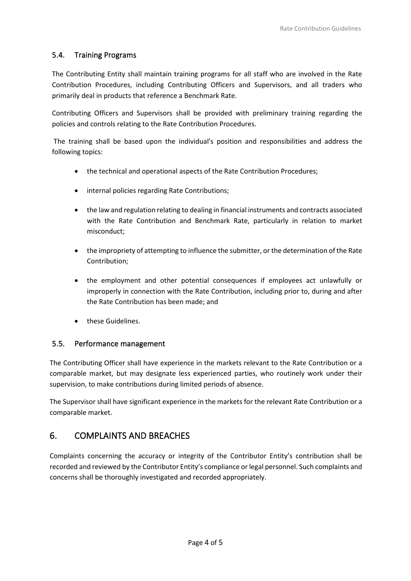#### 5.4. Training Programs

The Contributing Entity shall maintain training programs for all staff who are involved in the Rate Contribution Procedures, including Contributing Officers and Supervisors, and all traders who primarily deal in products that reference a Benchmark Rate.

Contributing Officers and Supervisors shall be provided with preliminary training regarding the policies and controls relating to the Rate Contribution Procedures.

The training shall be based upon the individual's position and responsibilities and address the following topics:

- the technical and operational aspects of the Rate Contribution Procedures;
- internal policies regarding Rate Contributions;
- the law and regulation relating to dealing in financial instruments and contracts associated with the Rate Contribution and Benchmark Rate, particularly in relation to market misconduct;
- the impropriety of attempting to influence the submitter, or the determination of the Rate Contribution;
- the employment and other potential consequences if employees act unlawfully or improperly in connection with the Rate Contribution, including prior to, during and after the Rate Contribution has been made; and
- these Guidelines.

#### 5.5. Performance management

The Contributing Officer shall have experience in the markets relevant to the Rate Contribution or a comparable market, but may designate less experienced parties, who routinely work under their supervision, to make contributions during limited periods of absence.

The Supervisor shall have significant experience in the markets for the relevant Rate Contribution or a comparable market.

# 6. COMPLAINTS AND BREACHES

Complaints concerning the accuracy or integrity of the Contributor Entity's contribution shall be recorded and reviewed by the Contributor Entity's compliance or legal personnel. Such complaints and concerns shall be thoroughly investigated and recorded appropriately.